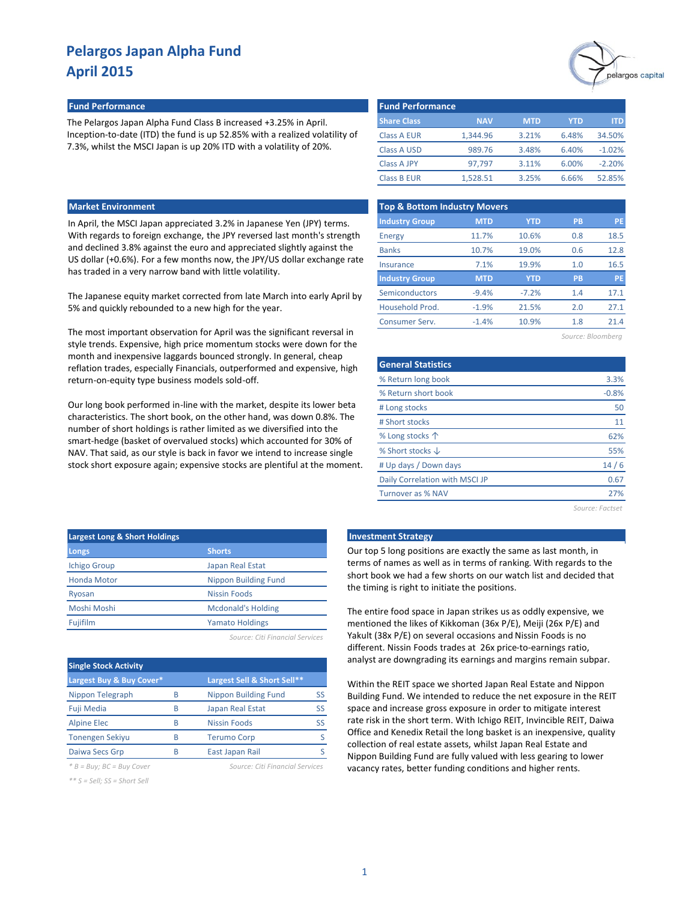

#### **Fund Performance Fund Performance**

The Pelargos Japan Alpha Fund Class B increased +3.25% in April. Inception-to-date (ITD) the fund is up 52.85% with a realized volatility of 7.3%, whilst the MSCI Japan is up 20% ITD with a volatility of 20%.

| <b>Fund Performance</b> |            |       |          |  |  |  |  |  |  |  |
|-------------------------|------------|-------|----------|--|--|--|--|--|--|--|
| <b>NAV</b>              | <b>MTD</b> | YTD   | ITD      |  |  |  |  |  |  |  |
| 1,344.96                | 3.21%      | 6.48% | 34.50%   |  |  |  |  |  |  |  |
| 989.76                  | 3.48%      | 6.40% | $-1.02%$ |  |  |  |  |  |  |  |
| 97.797                  | 3.11%      | 6.00% | $-2.20%$ |  |  |  |  |  |  |  |
| 1.528.51                | 3.25%      | 6.66% | 52.85%   |  |  |  |  |  |  |  |
|                         |            |       |          |  |  |  |  |  |  |  |

#### **Market Environment**

In April, the MSCI Japan appreciated 3.2% in Japanese Yen (JPY) terms. With regards to foreign exchange, the JPY reversed last month's strength and declined 3.8% against the euro and appreciated slightly against the US dollar (+0.6%). For a few months now, the JPY/US dollar exchange rate has traded in a very narrow band with little volatility.

The Japanese equity market corrected from late March into early April by 5% and quickly rebounded to a new high for the year.

The most important observation for April was the significant reversal in style trends. Expensive, high price momentum stocks were down for the month and inexpensive laggards bounced strongly. In general, cheap reflation trades, especially Financials, outperformed and expensive, high return-on-equity type business models sold-off.

Our long book performed in-line with the market, despite its lower beta characteristics. The short book, on the other hand, was down 0.8%. The number of short holdings is rather limited as we diversified into the smart-hedge (basket of overvalued stocks) which accounted for 30% of NAV. That said, as our style is back in favor we intend to increase single stock short exposure again; expensive stocks are plentiful at the moment.

| <b>Top &amp; Bottom Industry Movers</b> |            |            |           |           |  |  |  |  |  |
|-----------------------------------------|------------|------------|-----------|-----------|--|--|--|--|--|
| <b>Industry Group</b>                   | <b>MTD</b> | <b>YTD</b> | <b>PB</b> | <b>PE</b> |  |  |  |  |  |
| Energy                                  | 11.7%      | 10.6%      | 0.8       | 18.5      |  |  |  |  |  |
| <b>Banks</b>                            | 10.7%      | 19.0%      | 0.6       | 12.8      |  |  |  |  |  |
| Insurance                               | 7.1%       | 19.9%      | 1.0       | 16.5      |  |  |  |  |  |
| <b>Industry Group</b>                   | <b>MTD</b> | <b>YTD</b> | PB        | <b>PE</b> |  |  |  |  |  |
| Semiconductors                          | $-9.4%$    | $-7.2%$    | 1.4       | 17.1      |  |  |  |  |  |
| Household Prod.                         | $-1.9%$    | 21.5%      | 2.0       | 27.1      |  |  |  |  |  |
| <b>Consumer Serv.</b>                   | $-1.4%$    | 10.9%      | 1.8       | 21.4      |  |  |  |  |  |
|                                         |            |            |           |           |  |  |  |  |  |

| Source: Bloombera |  |
|-------------------|--|
|-------------------|--|

| <b>General Statistics</b>      |         |
|--------------------------------|---------|
| % Return long book             | 3.3%    |
| % Return short book            | $-0.8%$ |
| # Long stocks                  | 50      |
| # Short stocks                 | 11      |
| % Long stocks 个                | 62%     |
| % Short stocks $\downarrow$    | 55%     |
| # Up days / Down days          | 14/6    |
| Daily Correlation with MSCI JP | 0.67    |
| Turnover as % NAV              | 27%     |
|                                |         |

*Source: Factset*

| <b>Largest Long &amp; Short Holdings</b> |                             |
|------------------------------------------|-----------------------------|
| Longs                                    | <b>Shorts</b>               |
| <b>Ichigo Group</b>                      | Japan Real Estat            |
| <b>Honda Motor</b>                       | <b>Nippon Building Fund</b> |
| Ryosan                                   | Nissin Foods                |
| Moshi Moshi                              | <b>Mcdonald's Holding</b>   |
| Fujifilm                                 | <b>Yamato Holdings</b>      |
|                                          |                             |

*Source: Citi Financial Services*

| <b>Single Stock Activity</b> |   |                             |    |
|------------------------------|---|-----------------------------|----|
| Largest Buy & Buy Cover*     |   | Largest Sell & Short Sell** |    |
| Nippon Telegraph             | R | Nippon Building Fund        | SS |
| Fuji Media                   | R | Japan Real Estat            | SS |
| <b>Alpine Elec</b>           | R | <b>Nissin Foods</b>         | SS |
| <b>Tonengen Sekiyu</b>       | R | <b>Terumo Corp</b>          |    |
| Daiwa Secs Grp               | R | East Japan Rail             |    |

*\* B = Buy; BC = Buy Cover Source: Citi Financial Services*

*\*\* S = Sell; SS = Short Sell*

#### **Late Investment Strategy**

Our top 5 long positions are exactly the same as last month, in terms of names as well as in terms of ranking. With regards to the short book we had a few shorts on our watch list and decided that the timing is right to initiate the positions.

The entire food space in Japan strikes us as oddly expensive, we mentioned the likes of Kikkoman (36x P/E), Meiji (26x P/E) and Yakult (38x P/E) on several occasions and Nissin Foods is no different. Nissin Foods trades at 26x price-to-earnings ratio, analyst are downgrading its earnings and margins remain subpar.

Within the REIT space we shorted Japan Real Estate and Nippon Building Fund. We intended to reduce the net exposure in the REIT space and increase gross exposure in order to mitigate interest rate risk in the short term. With Ichigo REIT, Invincible REIT, Daiwa Office and Kenedix Retail the long basket is an inexpensive, quality collection of real estate assets, whilst Japan Real Estate and Nippon Building Fund are fully valued with less gearing to lower vacancy rates, better funding conditions and higher rents.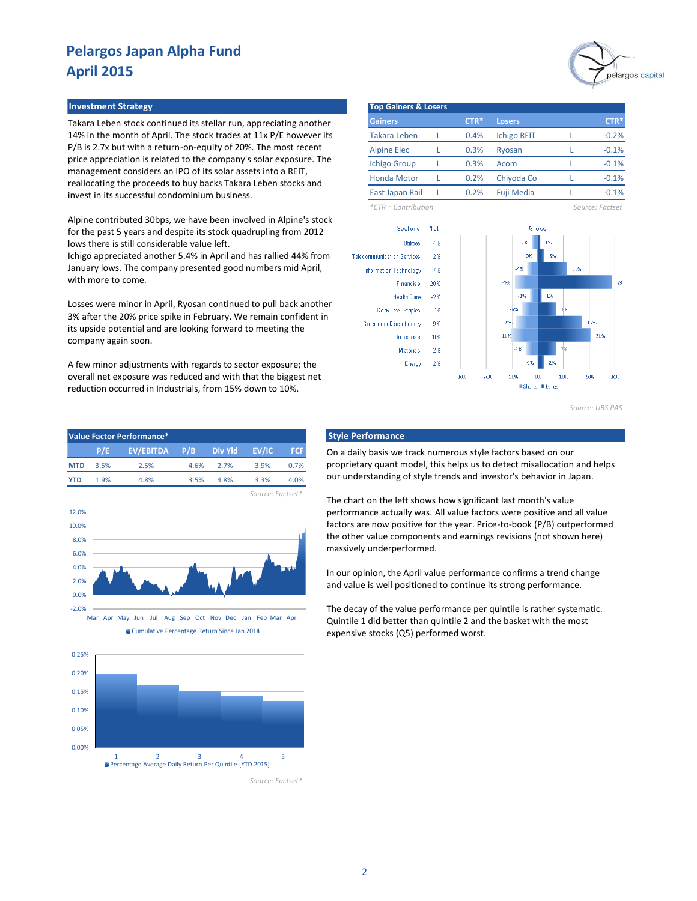#### **Investment Strategy Top Gainers & Losers**

Takara Leben stock continued its stellar run, appreciating another 14% in the month of April. The stock trades at 11x P/E however its P/B is 2.7x but with a return-on-equity of 20%. The most recent price appreciation is related to the company's solar exposure. The management considers an IPO of its solar assets into a REIT, reallocating the proceeds to buy backs Takara Leben stocks and invest in its successful condominium business.

Alpine contributed 30bps, we have been involved in Alpine's stock for the past 5 years and despite its stock quadrupling from 2012 lows there is still considerable value left.

Ichigo appreciated another 5.4% in April and has rallied 44% from January lows. The company presented good numbers mid April, with more to come.

Losses were minor in April, Ryosan continued to pull back another 3% after the 20% price spike in February. We remain confident in its upside potential and are looking forward to meeting the company again soon.

A few minor adjustments with regards to sector exposure; the overall net exposure was reduced and with that the biggest net reduction occurred in Industrials, from 15% down to 10%.

| <b>Value Factor Performance*</b> |      |               |      |         |       |      |  |  |  |
|----------------------------------|------|---------------|------|---------|-------|------|--|--|--|
|                                  | P/E  | EV/EBITDA P/B |      | Div Yld | EV/IC | FCF. |  |  |  |
| <b>MTD</b>                       | 3.5% | 2.5%          | 4.6% | 27%     | 39%   | 0.7% |  |  |  |
| <b>YTD</b>                       | 1 9% | 4.8%          | 3.5% | 4 8%    | 3.3%  | 4.0% |  |  |  |







*Source: Factset\**



| <b>Gainers</b>      | $CTR*$ | <b>Losers</b>      | $CTR*$  |
|---------------------|--------|--------------------|---------|
| <b>Takara Leben</b> | 0.4%   | <b>Ichigo REIT</b> | $-0.2%$ |
| <b>Alpine Elec</b>  | 0.3%   | Ryosan             | $-0.1%$ |
| <b>Ichigo Group</b> | 0.3%   | Acom               | $-0.1%$ |
| <b>Honda Motor</b>  | 0.2%   | Chiyoda Co         | $-0.1%$ |
| East Japan Rail     | 0.2%   | <b>Fuji Media</b>  | $-0.1%$ |

*\*CTR = Contribution Source: Factset*



*Source: UBS PAS*

#### **Style Performance**

On a daily basis we track numerous style factors based on our proprietary quant model, this helps us to detect misallocation and helps our understanding of style trends and investor's behavior in Japan.

The chart on the left shows how significant last month's value performance actually was. All value factors were positive and all value factors are now positive for the year. Price-to-book (P/B) outperformed the other value components and earnings revisions (not shown here) massively underperformed.

In our opinion, the April value performance confirms a trend change and value is well positioned to continue its strong performance.

The decay of the value performance per quintile is rather systematic. Quintile 1 did better than quintile 2 and the basket with the most expensive stocks (Q5) performed worst.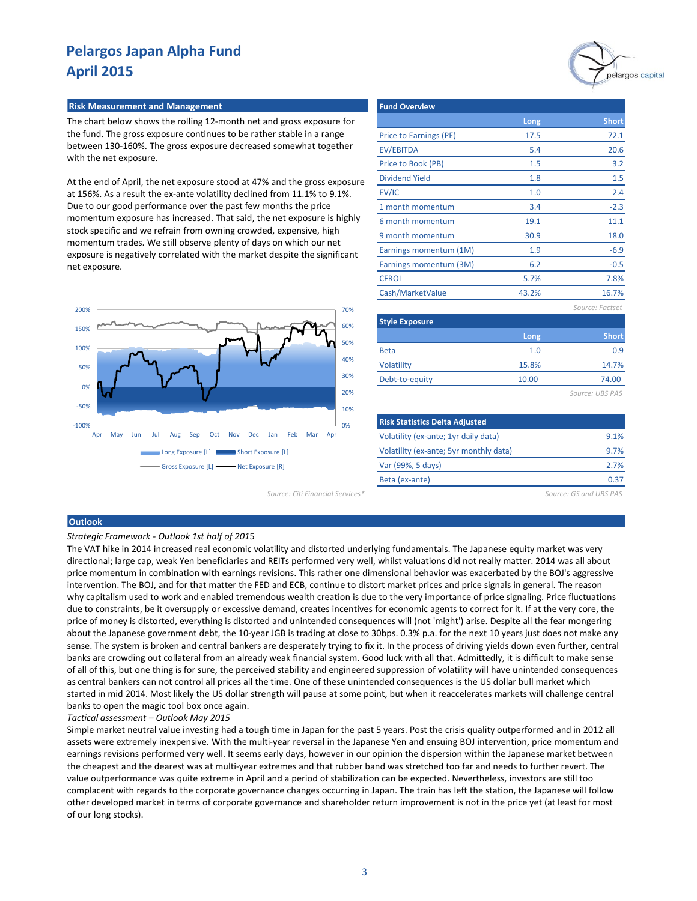# pelargos capital

#### **Risk Measurement and Management**

The chart below shows the rolling 12-month net and gross exposure for the fund. The gross exposure continues to be rather stable in a range between 130-160%. The gross exposure decreased somewhat together with the net exposure.

At the end of April, the net exposure stood at 47% and the gross exposure at 156%. As a result the ex-ante volatility declined from 11.1% to 9.1%. Due to our good performance over the past few months the price momentum exposure has increased. That said, the net exposure is highly stock specific and we refrain from owning crowded, expensive, high momentum trades. We still observe plenty of days on which our net exposure is negatively correlated with the market despite the significant net exposure.



| <b>Fund Overview</b>   |       |                       |
|------------------------|-------|-----------------------|
|                        | Long  | <b>Short</b>          |
| Price to Earnings (PE) | 17.5  | 72.1                  |
| <b>EV/EBITDA</b>       | 5.4   | 20.6                  |
| Price to Book (PB)     | 1.5   | 3.2                   |
| <b>Dividend Yield</b>  | 1.8   | 1.5                   |
| EV/IC                  | 1.0   | 2.4                   |
| 1 month momentum       | 3.4   | $-2.3$                |
| 6 month momentum       | 19.1  | 11.1                  |
| 9 month momentum       | 30.9  | 18.0                  |
| Earnings momentum (1M) | 1.9   | $-6.9$                |
| Earnings momentum (3M) | 6.2   | $-0.5$                |
| <b>CFROI</b>           | 5.7%  | 7.8%                  |
| Cash/MarketValue       | 43.2% | 16.7%                 |
|                        |       | Source: Factset       |
| <b>Style Exposure</b>  |       |                       |
|                        | 1.000 | $Ch$ <sub>n</sub> $H$ |

| 1.0   | 0.9   |
|-------|-------|
| 15.8% | 14.7% |
| 10.00 | 74.00 |
|       |       |

*Source: UBS PAS*

| <b>Risk Statistics Delta Adjusted</b>  |      |
|----------------------------------------|------|
| Volatility (ex-ante; 1yr daily data)   | 9.1% |
| Volatility (ex-ante; 5yr monthly data) | 9.7% |
| Var (99%, 5 days)                      | 2.7% |
| Beta (ex-ante)                         | 0.BJ |

*Source: Citi Financial Services\* Source: GS and UBS PAS*

#### **Outlook**

#### *Strategic Framework - Outlook 1st half of 201*5

The VAT hike in 2014 increased real economic volatility and distorted underlying fundamentals. The Japanese equity market was very directional; large cap, weak Yen beneficiaries and REITs performed very well, whilst valuations did not really matter. 2014 was all about price momentum in combination with earnings revisions. This rather one dimensional behavior was exacerbated by the BOJ's aggressive intervention. The BOJ, and for that matter the FED and ECB, continue to distort market prices and price signals in general. The reason why capitalism used to work and enabled tremendous wealth creation is due to the very importance of price signaling. Price fluctuations due to constraints, be it oversupply or excessive demand, creates incentives for economic agents to correct for it. If at the very core, the price of money is distorted, everything is distorted and unintended consequences will (not 'might') arise. Despite all the fear mongering about the Japanese government debt, the 10-year JGB is trading at close to 30bps. 0.3% p.a. for the next 10 years just does not make any sense. The system is broken and central bankers are desperately trying to fix it. In the process of driving yields down even further, central banks are crowding out collateral from an already weak financial system. Good luck with all that. Admittedly, it is difficult to make sense of all of this, but one thing is for sure, the perceived stability and engineered suppression of volatility will have unintended consequences as central bankers can not control all prices all the time. One of these unintended consequences is the US dollar bull market which started in mid 2014. Most likely the US dollar strength will pause at some point, but when it reaccelerates markets will challenge central banks to open the magic tool box once again.

#### *Tactical assessment – Outlook May 2015*

Simple market neutral value investing had a tough time in Japan for the past 5 years. Post the crisis quality outperformed and in 2012 all assets were extremely inexpensive. With the multi-year reversal in the Japanese Yen and ensuing BOJ intervention, price momentum and earnings revisions performed very well. It seems early days, however in our opinion the dispersion within the Japanese market between the cheapest and the dearest was at multi-year extremes and that rubber band was stretched too far and needs to further revert. The value outperformance was quite extreme in April and a period of stabilization can be expected. Nevertheless, investors are still too complacent with regards to the corporate governance changes occurring in Japan. The train has left the station, the Japanese will follow other developed market in terms of corporate governance and shareholder return improvement is not in the price yet (at least for most of our long stocks).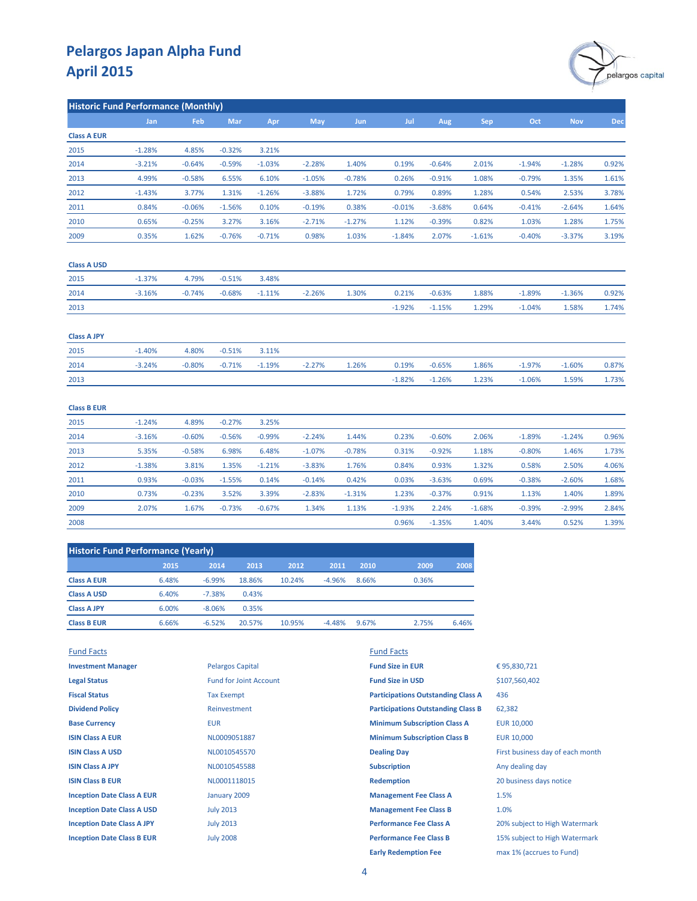

| <b>Historic Fund Performance (Monthly)</b> |            |            |          |          |            |            |          |          |          |          |            |            |
|--------------------------------------------|------------|------------|----------|----------|------------|------------|----------|----------|----------|----------|------------|------------|
|                                            | <b>Jan</b> | <b>Feb</b> | Mar      | Apr      | <b>May</b> | <b>Jun</b> | Jul      | Aug      | Sep      | Oct      | <b>Nov</b> | <b>Dec</b> |
| <b>Class A EUR</b>                         |            |            |          |          |            |            |          |          |          |          |            |            |
| 2015                                       | $-1.28%$   | 4.85%      | $-0.32%$ | 3.21%    |            |            |          |          |          |          |            |            |
| 2014                                       | $-3.21%$   | $-0.64%$   | $-0.59%$ | $-1.03%$ | $-2.28%$   | 1.40%      | 0.19%    | $-0.64%$ | 2.01%    | $-1.94%$ | $-1.28%$   | 0.92%      |
| 2013                                       | 4.99%      | $-0.58%$   | 6.55%    | 6.10%    | $-1.05%$   | $-0.78%$   | 0.26%    | $-0.91%$ | 1.08%    | $-0.79%$ | 1.35%      | 1.61%      |
| 2012                                       | $-1.43%$   | 3.77%      | 1.31%    | $-1.26%$ | $-3.88%$   | 1.72%      | 0.79%    | 0.89%    | 1.28%    | 0.54%    | 2.53%      | 3.78%      |
| 2011                                       | 0.84%      | $-0.06%$   | $-1.56%$ | 0.10%    | $-0.19%$   | 0.38%      | $-0.01%$ | $-3.68%$ | 0.64%    | $-0.41%$ | $-2.64%$   | 1.64%      |
| 2010                                       | 0.65%      | $-0.25%$   | 3.27%    | 3.16%    | $-2.71%$   | $-1.27%$   | 1.12%    | $-0.39%$ | 0.82%    | 1.03%    | 1.28%      | 1.75%      |
| 2009                                       | 0.35%      | 1.62%      | $-0.76%$ | $-0.71%$ | 0.98%      | 1.03%      | $-1.84%$ | 2.07%    | $-1.61%$ | $-0.40%$ | $-3.37%$   | 3.19%      |
| <b>Class A USD</b>                         |            |            |          |          |            |            |          |          |          |          |            |            |
| 2015                                       | $-1.37%$   | 4.79%      | $-0.51%$ | 3.48%    |            |            |          |          |          |          |            |            |
| 2014                                       | $-3.16%$   | $-0.74%$   | $-0.68%$ | $-1.11%$ | $-2.26%$   | 1.30%      | 0.21%    | $-0.63%$ | 1.88%    | $-1.89%$ | $-1.36%$   | 0.92%      |
| 2013                                       |            |            |          |          |            |            | $-1.92%$ | $-1.15%$ | 1.29%    | $-1.04%$ | 1.58%      | 1.74%      |
| <b>Class A JPY</b>                         |            |            |          |          |            |            |          |          |          |          |            |            |
| 2015                                       | $-1.40%$   | 4.80%      | $-0.51%$ | 3.11%    |            |            |          |          |          |          |            |            |
| 2014                                       | $-3.24%$   | $-0.80%$   | $-0.71%$ | $-1.19%$ | $-2.27%$   | 1.26%      | 0.19%    | $-0.65%$ | 1.86%    | $-1.97%$ | $-1.60%$   | 0.87%      |
| 2013                                       |            |            |          |          |            |            | $-1.82%$ | $-1.26%$ | 1.23%    | $-1.06%$ | 1.59%      | 1.73%      |
| <b>Class B EUR</b>                         |            |            |          |          |            |            |          |          |          |          |            |            |
| 2015                                       | $-1.24%$   | 4.89%      | $-0.27%$ | 3.25%    |            |            |          |          |          |          |            |            |
| 2014                                       | $-3.16%$   | $-0.60%$   | $-0.56%$ | $-0.99%$ | $-2.24%$   | 1.44%      | 0.23%    | $-0.60%$ | 2.06%    | $-1.89%$ | $-1.24%$   | 0.96%      |
| 2013                                       | 5.35%      | $-0.58%$   | 6.98%    | 6.48%    | $-1.07%$   | $-0.78%$   | 0.31%    | $-0.92%$ | 1.18%    | $-0.80%$ | 1.46%      | 1.73%      |
| 2012                                       | $-1.38%$   | 3.81%      | 1.35%    | $-1.21%$ | $-3.83%$   | 1.76%      | 0.84%    | 0.93%    | 1.32%    | 0.58%    | 2.50%      | 4.06%      |
| 2011                                       | 0.93%      | $-0.03%$   | $-1.55%$ | 0.14%    | $-0.14%$   | 0.42%      | 0.03%    | $-3.63%$ | 0.69%    | $-0.38%$ | $-2.60%$   | 1.68%      |
| 2010                                       | 0.73%      | $-0.23%$   | 3.52%    | 3.39%    | $-2.83%$   | $-1.31%$   | 1.23%    | $-0.37%$ | 0.91%    | 1.13%    | 1.40%      | 1.89%      |
| 2009                                       | 2.07%      | 1.67%      | $-0.73%$ | $-0.67%$ | 1.34%      | 1.13%      | $-1.93%$ | 2.24%    | $-1.68%$ | $-0.39%$ | $-2.99%$   | 2.84%      |
| 2008                                       |            |            |          |          |            |            | 0.96%    | $-1.35%$ | 1.40%    | 3.44%    | 0.52%      | 1.39%      |

| <b>Historic Fund Performance (Yearly)</b> |       |          |        |        |          |       |       |       |  |
|-------------------------------------------|-------|----------|--------|--------|----------|-------|-------|-------|--|
|                                           | 2015  | 2014     | 2013   | 2012   | 2011     | 2010  | 2009  | 2008  |  |
| <b>Class A EUR</b>                        | 6.48% | $-6.99%$ | 18.86% | 10.24% | $-4.96%$ | 8.66% | 0.36% |       |  |
| <b>Class A USD</b>                        | 6.40% | $-7.38%$ | 0.43%  |        |          |       |       |       |  |
| <b>Class A JPY</b>                        | 6.00% | $-8.06%$ | 0.35%  |        |          |       |       |       |  |
| <b>Class B EUR</b>                        | 6.66% | $-6.52%$ | 20.57% | 10.95% | $-4.48%$ | 9.67% | 2.75% | 6.46% |  |

| <b>Fund Facts</b>                 |                               | <b>Fund Facts</b>                         |                                  |
|-----------------------------------|-------------------------------|-------------------------------------------|----------------------------------|
| <b>Investment Manager</b>         | <b>Pelargos Capital</b>       | <b>Fund Size in EUR</b>                   | €95,830,721                      |
| <b>Legal Status</b>               | <b>Fund for Joint Account</b> | <b>Fund Size in USD</b>                   | \$107,560,402                    |
| <b>Fiscal Status</b>              | <b>Tax Exempt</b>             | <b>Participations Outstanding Class A</b> | 436                              |
| <b>Dividend Policy</b>            | Reinvestment                  | <b>Participations Outstanding Class B</b> | 62,382                           |
| <b>Base Currency</b>              | <b>EUR</b>                    | <b>Minimum Subscription Class A</b>       | <b>EUR 10,000</b>                |
| <b>ISIN Class A EUR</b>           | NL0009051887                  | <b>Minimum Subscription Class B</b>       | EUR 10,000                       |
| <b>ISIN Class A USD</b>           | NL0010545570                  | <b>Dealing Day</b>                        | First business day of each month |
| <b>ISIN Class A JPY</b>           | NL0010545588                  | <b>Subscription</b>                       | Any dealing day                  |
| <b>ISIN Class B EUR</b>           | NL0001118015                  | <b>Redemption</b>                         | 20 business days notice          |
| <b>Inception Date Class A EUR</b> | January 2009                  | <b>Management Fee Class A</b>             | 1.5%                             |
| <b>Inception Date Class A USD</b> | <b>July 2013</b>              | <b>Management Fee Class B</b>             | 1.0%                             |
| <b>Inception Date Class A JPY</b> | <b>July 2013</b>              | <b>Performance Fee Class A</b>            | 20% subject to High Watermark    |
| <b>Inception Date Class B EUR</b> | <b>July 2008</b>              | <b>Performance Fee Class B</b>            | 15% subject to High Watermark    |
|                                   |                               | <b>Early Redemption Fee</b>               | max 1% (accrues to Fund)         |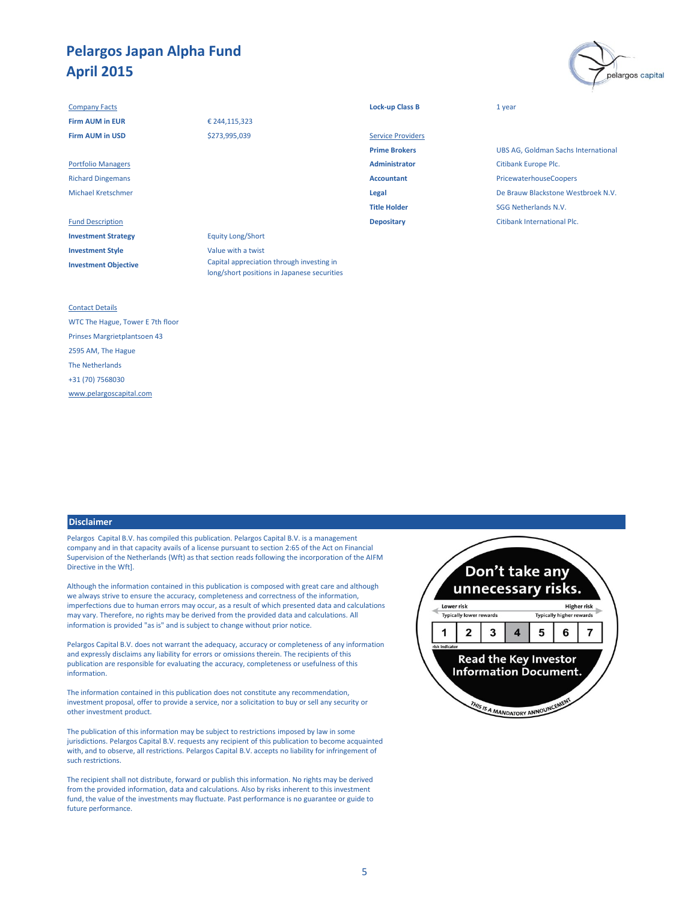#### **Company Facts Lock-up Class B** 1 year

**Investment Strategy** Equity Long/Short **Investment Style** Value with a twist **Investment Objective**

### € 244,115,323 \$273,995,039

Fund Description **Depositary** Citibank International Plc. Capital appreciation through investing in

long/short positions in Japanese securities

| <b>Firm AUM in EUR</b>    | € 244,115,323 |                          |                           |
|---------------------------|---------------|--------------------------|---------------------------|
| <b>Firm AUM in USD</b>    | \$273,995,039 | <b>Service Providers</b> |                           |
|                           |               | <b>Prime Brokers</b>     | <b>UBS AG, Goldman S</b>  |
| <b>Portfolio Managers</b> |               | <b>Administrator</b>     | Citibank Europe Plc.      |
| <b>Richard Dingemans</b>  |               | <b>Accountant</b>        | PricewaterhouseCo         |
| <b>Michael Kretschmer</b> |               | Legal                    | De Brauw Blackston        |
|                           |               | <b>Title Holder</b>      | <b>SGG Netherlands N.</b> |
|                           |               |                          |                           |

**UBS AG, Goldman Sachs International** Richard Dingemans **Accountant** PricewaterhouseCoopers Michael Kretschmer **Legal** De Brauw Blackstone Westbroek N.V. **SGG Netherlands N.V.** 

pelargos capital

#### Contact Details

WTC The Hague, Tower E 7th floor Prinses Margrietplantsoen 43 2595 AM, The Hague The Netherlands +31 (70) 7568030 [www.pelargoscapital.com](http://www.pelargoscapital.com/)

#### **Disclaimer**

Pelargos Capital B.V. has compiled this publication. Pelargos Capital B.V. is a management company and in that capacity avails of a license pursuant to section 2:65 of the Act on Financial Supervision of the Netherlands (Wft) as that section reads following the incorporation of the AIFM Directive in the Wft].

Although the information contained in this publication is composed with great care and although we always strive to ensure the accuracy, completeness and correctness of the information, imperfections due to human errors may occur, as a result of which presented data and calculations may vary. Therefore, no rights may be derived from the provided data and calculations. All information is provided "as is" and is subject to change without prior notice.

Pelargos Capital B.V. does not warrant the adequacy, accuracy or completeness of any information and expressly disclaims any liability for errors or omissions therein. The recipients of this publication are responsible for evaluating the accuracy, completeness or usefulness of this information.

The information contained in this publication does not constitute any recommendation, investment proposal, offer to provide a service, nor a solicitation to buy or sell any security or other investment product.

The publication of this information may be subject to restrictions imposed by law in some jurisdictions. Pelargos Capital B.V. requests any recipient of this publication to become acquainted with, and to observe, all restrictions. Pelargos Capital B.V. accepts no liability for infringement of such restrictions.

The recipient shall not distribute, forward or publish this information. No rights may be derived from the provided information, data and calculations. Also by risks inherent to this investment fund, the value of the investments may fluctuate. Past performance is no guarantee or guide to future performance.